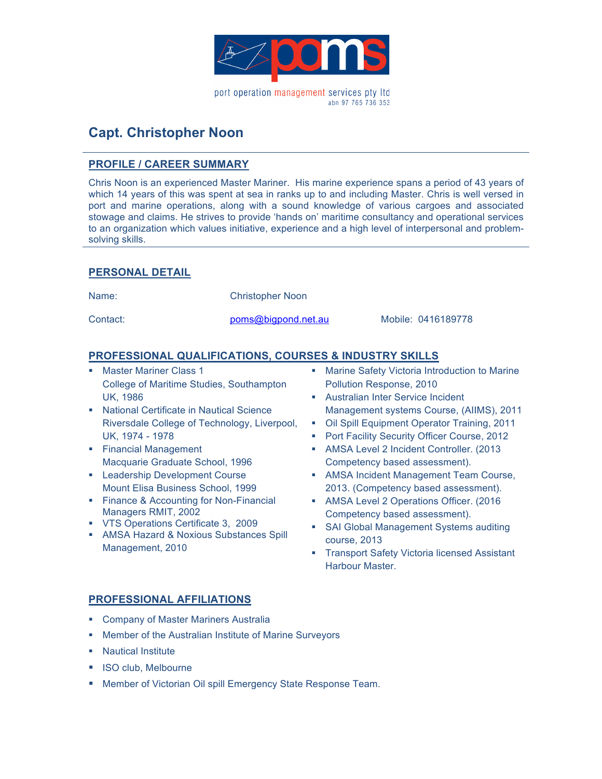

# **Capt. Christopher Noon**

### **PROFILE / CAREER SUMMARY**

Chris Noon is an experienced Master Mariner. His marine experience spans a period of 43 years of which 14 years of this was spent at sea in ranks up to and including Master. Chris is well versed in port and marine operations, along with a sound knowledge of various cargoes and associated stowage and claims. He strives to provide 'hands on' maritime consultancy and operational services to an organization which values initiative, experience and a high level of interpersonal and problemsolving skills.

### **PERSONAL DETAIL**

Name: Christopher Noon

Contact: poms@bigpond.net.au Mobile: 0416189778

### **PROFESSIONAL QUALIFICATIONS, COURSES & INDUSTRY SKILLS**

- **Master Mariner Class 1** College of Maritime Studies, Southampton UK, 1986
- **.** National Certificate in Nautical Science Riversdale College of Technology, Liverpool, UK, 1974 - 1978
- **Exercial Management** Macquarie Graduate School, 1996
- **E.** Leadership Development Course Mount Elisa Business School, 1999
- **Exercise Brance & Accounting for Non-Financial** Managers RMIT, 2002
- ! VTS Operations Certificate 3, 2009
- ! AMSA Hazard & Noxious Substances Spill Management, 2010
- **EXECT:** Marine Safety Victoria Introduction to Marine Pollution Response, 2010
- **E.** Australian Inter Service Incident Management systems Course, (AIIMS), 2011
- ! Oil Spill Equipment Operator Training, 2011
- **Port Facility Security Officer Course, 2012**
- **AMSA Level 2 Incident Controller. (2013** Competency based assessment).
- **EXECUTE: AMSA Incident Management Team Course,** 2013. (Competency based assessment).
- **.** AMSA Level 2 Operations Officer. (2016) Competency based assessment).
- **SAI Global Management Systems auditing** course, 2013
- **Transport Safety Victoria licensed Assistant** Harbour Master.

## **PROFESSIONAL AFFILIATIONS**

- **E.** Company of Master Mariners Australia
- ! Member of the Australian Institute of Marine Surveyors
- **Nautical Institute**
- **.** ISO club, Melbourne
- **.** Member of Victorian Oil spill Emergency State Response Team.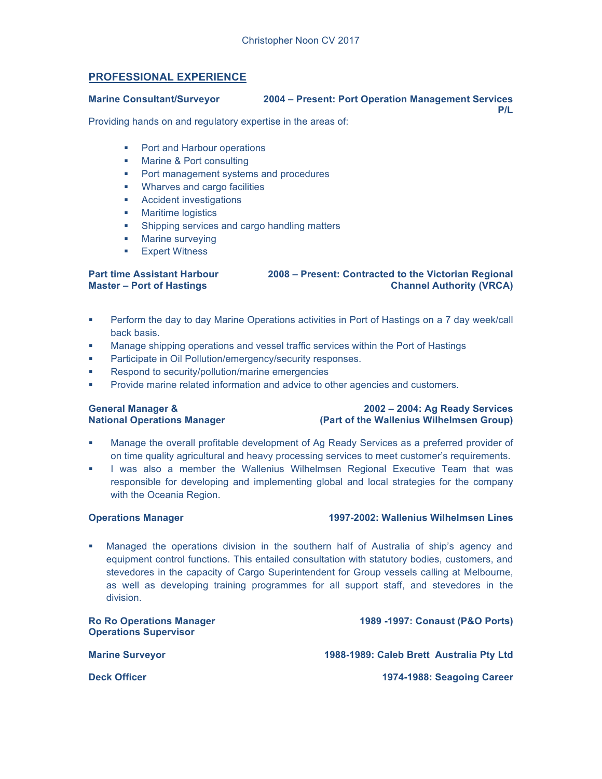### **PROFESSIONAL EXPERIENCE**

### **Marine Consultant/Surveyor 2004 – Present: Port Operation Management Services P/L**

Providing hands on and regulatory expertise in the areas of:

- **Port and Harbour operations**
- ! Marine & Port consulting
- ! Port management systems and procedures
- **.** Wharves and cargo facilities
- ! Accident investigations
- **E** Maritime logistics
- **EXECUTE:** Shipping services and cargo handling matters
- **Marine surveying**
- **Expert Witness**

### **Part time Assistant Harbour Master – Port of Hastings 2008 – Present: Contracted to the Victorian Regional Channel Authority (VRCA)**

- ! Perform the day to day Marine Operations activities in Port of Hastings on a 7 day week/call back basis.
- ! Manage shipping operations and vessel traffic services within the Port of Hastings
- Participate in Oil Pollution/emergency/security responses.
- Respond to security/pollution/marine emergencies
- ! Provide marine related information and advice to other agencies and customers.

### **General Manager & National Operations Manager**

### **2002 – 2004: Ag Ready Services (Part of the Wallenius Wilhelmsen Group)**

- ! Manage the overall profitable development of Ag Ready Services as a preferred provider of on time quality agricultural and heavy processing services to meet customer's requirements.
- ! I was also a member the Wallenius Wilhelmsen Regional Executive Team that was responsible for developing and implementing global and local strategies for the company with the Oceania Region.

### **Operations Manager 1997-2002: Wallenius Wilhelmsen Lines**

! Managed the operations division in the southern half of Australia of ship's agency and equipment control functions. This entailed consultation with statutory bodies, customers, and stevedores in the capacity of Cargo Superintendent for Group vessels calling at Melbourne, as well as developing training programmes for all support staff, and stevedores in the division.

**Ro Ro Operations Manager Operations Supervisor 1989 -1997: Conaust (P&O Ports) Marine Surveyor 1988-1989: Caleb Brett Australia Pty Ltd Deck Officer 1974-1988: Seagoing Career**